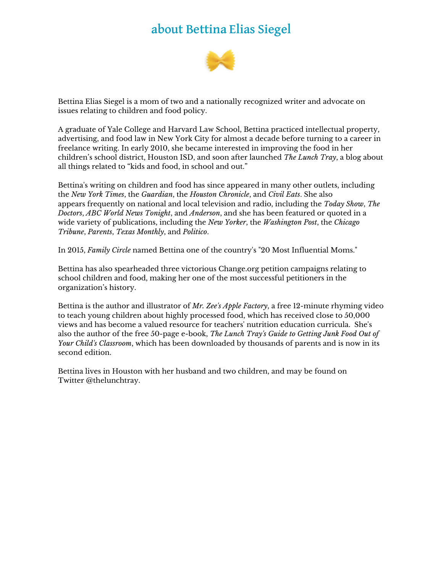# about Bettina Elias Siegel



Bettina Elias Siegel is a mom of two and a nationally recognized writer and advocate on issues relating to children and food policy.

A graduate of Yale College and Harvard Law School, Bettina practiced intellectual property, advertising, and food law in New York City for almost a decade before turning to a career in freelance writing. In early 2010, she became interested in improving the food in her children's school district, Houston ISD, and soon after launched *The Lunch Tray*, a blog about all things related to "kids and food, in school and out."

Bettina's writing on children and food has since appeared in many other outlets, including the *New York Times*, the *Guardian*, the *Houston Chronicle*, and *Civil Eats*. She also appears frequently on national and local television and radio, including the *Today Show*, *The Doctors*, *ABC World News Tonight*, and *Anderson*, and she has been featured or quoted in a wide variety of publications, including the *New Yorker*, the *Washington Post*, the *Chicago Tribune*, *Parents*, *Texas Monthly*, and *Politico*.

In 2015, *Family Circle* named Bettina one of the country's "20 Most Influential Moms."

Bettina has also spearheaded three victorious Change.org petition campaigns relating to school children and food, making her one of the most successful petitioners in the organization's history.

Bettina is the author and illustrator of *Mr. Zee's Apple Factory*, a free 12-minute rhyming video to teach young children about highly processed food, which has received close to 50,000 views and has become a valued resource for teachers' nutrition education curricula. She's also the author of the free 50-page e-book, *The Lunch Tray's Guide to Getting Junk Food Out of Your Child's Classroom*, which has been downloaded by thousands of parents and is now in its second edition.

Bettina lives in Houston with her husband and two children, and may be found on Twitter @thelunchtray.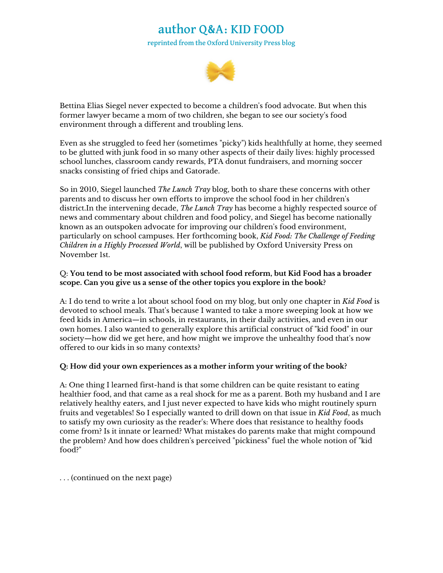## author Q&A: KID FOOD

reprinted from the Oxford University Press blog



Bettina Elias Siegel never expected to become a children's food advocate. But when this former lawyer became a mom of two children, she began to see our society's food environment through a different and troubling lens.

Even as she struggled to feed her (sometimes "picky") kids healthfully at home, they seemed to be glutted with junk food in so many other aspects of their daily lives: highly processed school lunches, classroom candy rewards, PTA donut fundraisers, and morning soccer snacks consisting of fried chips and Gatorade.

So in 2010, Siegel launched *The Lunch Tray* blog, both to share these concerns with other parents and to discuss her own efforts to improve the school food in her children's district.In the intervening decade, *The Lunch Tray* has become a highly respected source of news and commentary about children and food policy, and Siegel has become nationally known as an outspoken advocate for improving our children's food environment, particularly on school campuses. Her forthcoming book, *Kid Food: The Challenge of Feeding Children in a Highly Processed World*, will be published by Oxford University Press on November 1st.

### Q: **You tend to be most associated with school food reform, but Kid Food has a broader scope. Can you give us a sense of the other topics you explore in the book?**

A: I do tend to write a lot about school food on my blog, but only one chapter in *Kid Food* is devoted to school meals. That's because I wanted to take a more sweeping look at how we feed kids in America—in schools, in restaurants, in their daily activities, and even in our own homes. I also wanted to generally explore this artificial construct of "kid food" in our society—how did we get here, and how might we improve the unhealthy food that's now offered to our kids in so many contexts?

### **Q: How did your own experiences as a mother inform your writing of the book?**

A: One thing I learned first-hand is that some children can be quite resistant to eating healthier food, and that came as a real shock for me as a parent. Both my husband and I are relatively healthy eaters, and I just never expected to have kids who might routinely spurn fruits and vegetables! So I especially wanted to drill down on that issue in *Kid Food*, as much to satisfy my own curiosity as the reader's: Where does that resistance to healthy foods come from? Is it innate or learned? What mistakes do parents make that might compound the problem? And how does children's perceived "pickiness" fuel the whole notion of "kid food?"

. . . (continued on the next page)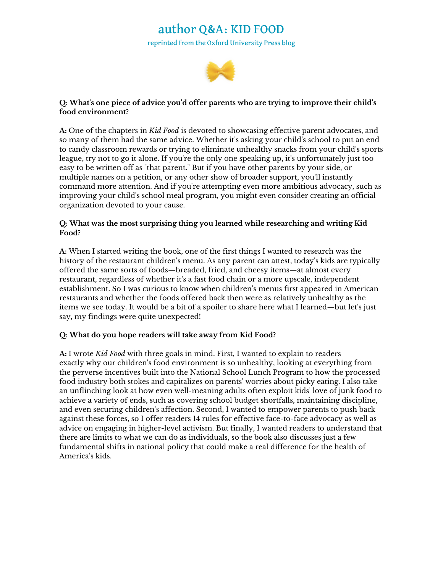### author Q&A: KID FOOD reprinted from the Oxford University Press blog



### **Q: What's one piece of advice you'd offer parents who are trying to improve their child's food environment?**

**A:** One of the chapters in *Kid Food* is devoted to showcasing effective parent advocates, and so many of them had the same advice. Whether it's asking your child's school to put an end to candy classroom rewards or trying to eliminate unhealthy snacks from your child's sports league, try not to go it alone. If you're the only one speaking up, it's unfortunately just too easy to be written off as "that parent." But if you have other parents by your side, or multiple names on a petition, or any other show of broader support, you'll instantly command more attention. And if you're attempting even more ambitious advocacy, such as improving your child's school meal program, you might even consider creating an official organization devoted to your cause.

### **Q: What was the most surprising thing you learned while researching and writing Kid Food?**

**A:** When I started writing the book, one of the first things I wanted to research was the history of the restaurant children's menu. As any parent can attest, today's kids are typically offered the same sorts of foods—breaded, fried, and cheesy items—at almost every restaurant, regardless of whether it's a fast food chain or a more upscale, independent establishment. So I was curious to know when children's menus first appeared in American restaurants and whether the foods offered back then were as relatively unhealthy as the items we see today. It would be a bit of a spoiler to share here what I learned—but let's just say, my findings were quite unexpected!

### **Q: What do you hope readers will take away from Kid Food?**

**A:** I wrote *Kid Food* with three goals in mind. First, I wanted to explain to readers exactly why our children's food environment is so unhealthy, looking at everything from the perverse incentives built into the National School Lunch Program to how the processed food industry both stokes and capitalizes on parents' worries about picky eating. I also take an unflinching look at how even well-meaning adults often exploit kids' love of junk food to achieve a variety of ends, such as covering school budget shortfalls, maintaining discipline, and even securing children's affection. Second, I wanted to empower parents to push back against these forces, so I offer readers 14 rules for effective face-to-face advocacy as well as advice on engaging in higher-level activism. But finally, I wanted readers to understand that there are limits to what we can do as individuals, so the book also discusses just a few fundamental shifts in national policy that could make a real difference for the health of America's kids.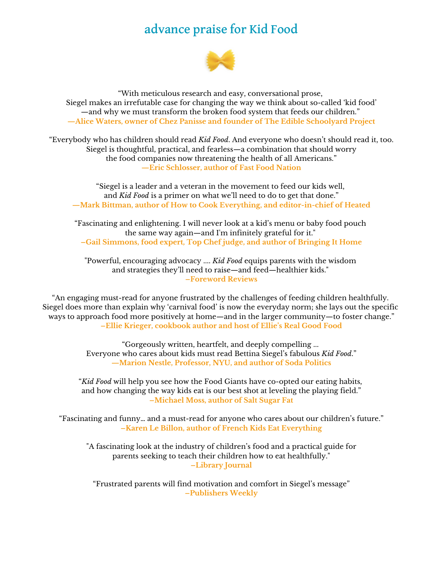## advance praise for Kid Food



"With meticulous research and easy, conversational prose, Siegel makes an irrefutable case for changing the way we think about so-called 'kid food' —and why we must transform the broken food system that feeds our children." **—Alice Waters, owner of Chez Panisse and founder of The Edible Schoolyard Project**

"Everybody who has children should read *Kid Food*. And everyone who doesn't should read it, too. Siegel is thoughtful, practical, and fearless—a combination that should worry the food companies now threatening the health of all Americans." **—Eric Schlosser, author of Fast Food Nation**

"Siegel is a leader and a veteran in the movement to feed our kids well, and *Kid Food* is a primer on what we'll need to do to get that done." **—Mark Bittman, author of How to Cook Everything, and editor-in-chief of Heated**

"Fascinating and enlightening. I will never look at a kid's menu or baby food pouch the same way again—and I'm infinitely grateful for it." **–Gail Simmons, food expert, Top Chef judge, and author of Bringing It Home**

"Powerful, encouraging advocacy .... *Kid Food* equips parents with the wisdom and strategies they'll need to raise—and feed—healthier kids." **–Foreword Reviews**

"An engaging must-read for anyone frustrated by the challenges of feeding children healthfully. Siegel does more than explain why 'carnival food' is now the everyday norm; she lays out the specific ways to approach food more positively at home—and in the larger community—to foster change." **–Ellie Krieger, cookbook author and host of Ellie's Real Good Food**

> "Gorgeously written, heartfelt, and deeply compelling ... Everyone who cares about kids must read Bettina Siegel's fabulous *Kid Food*." **—Marion Nestle, Professor, NYU, and author of Soda Politics**

"*Kid Food* will help you see how the Food Giants have co-opted our eating habits, and how changing the way kids eat is our best shot at leveling the playing field." **–Michael Moss, author of Salt Sugar Fat**

"Fascinating and funny… and a must-read for anyone who cares about our children's future." **–Karen Le Billon, author of French Kids Eat Everything**

"A fascinating look at the industry of children's food and a practical guide for parents seeking to teach their children how to eat healthfully." **–Library Journal**

"Frustrated parents will find motivation and comfort in Siegel's message" **–Publishers Weekly**